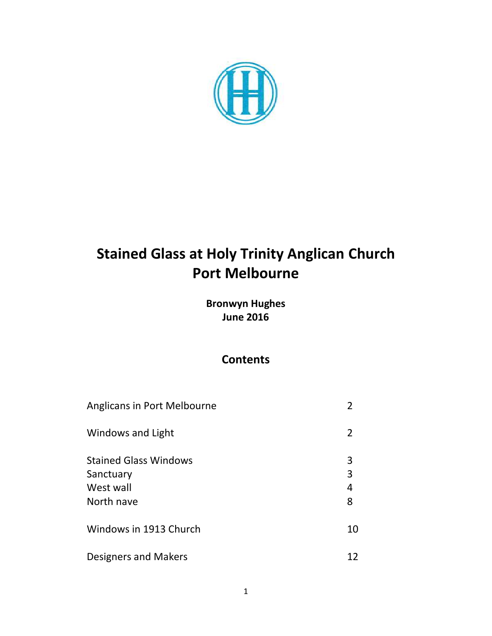

# **Stained Glass at Holy Trinity Anglican Church Port Melbourne**

**Bronwyn Hughes June 2016**

## **Contents**

| Anglicans in Port Melbourne                                          | $\overline{\phantom{a}}$ |
|----------------------------------------------------------------------|--------------------------|
| Windows and Light                                                    | 2                        |
| <b>Stained Glass Windows</b><br>Sanctuary<br>West wall<br>North nave | 3<br>3<br>4<br>8         |
| Windows in 1913 Church                                               | 10                       |
| Designers and Makers                                                 | 12                       |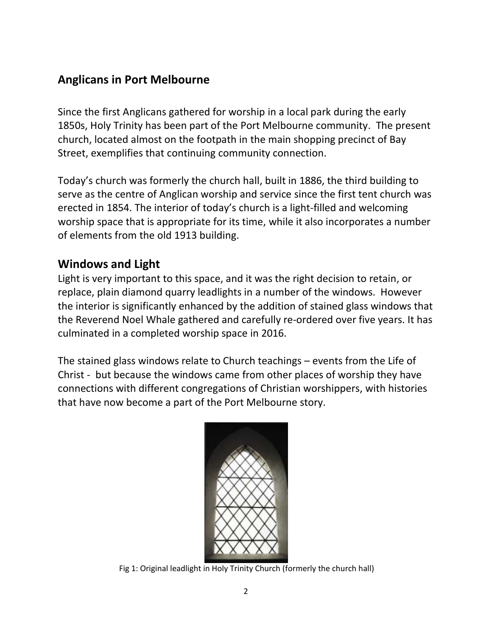## **Anglicans in Port Melbourne**

Since the first Anglicans gathered for worship in a local park during the early 1850s, Holy Trinity has been part of the Port Melbourne community. The present church, located almost on the footpath in the main shopping precinct of Bay Street, exemplifies that continuing community connection.

Today's church was formerly the church hall, built in 1886, the third building to serve as the centre of Anglican worship and service since the first tent church was erected in 1854. The interior of today's church is a light-filled and welcoming worship space that is appropriate for its time, while it also incorporates a number of elements from the old 1913 building.

## **Windows and Light**

Light is very important to this space, and it was the right decision to retain, or replace, plain diamond quarry leadlights in a number of the windows. However the interior is significantly enhanced by the addition of stained glass windows that the Reverend Noel Whale gathered and carefully re-ordered over five years. It has culminated in a completed worship space in 2016.

The stained glass windows relate to Church teachings – events from the Life of Christ - but because the windows came from other places of worship they have connections with different congregations of Christian worshippers, with histories that have now become a part of the Port Melbourne story.



Fig 1: Original leadlight in Holy Trinity Church (formerly the church hall)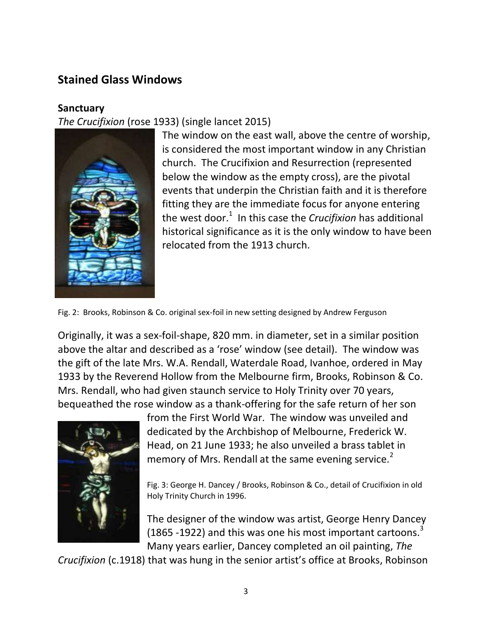## **Stained Glass Windows**

#### **Sanctuary**

*The Crucifixion* (rose 1933) (single lancet 2015)



The window on the east wall, above the centre of worship, is considered the most important window in any Christian church. The Crucifixion and Resurrection (represented below the window as the empty cross), are the pivotal events that underpin the Christian faith and it is therefore fitting they are the immediate focus for anyone entering the west door. 1 In this case the *Crucifixion* has additional historical significance as it is the only window to have been relocated from the 1913 church.

Fig. 2: Brooks, Robinson & Co. original sex-foil in new setting designed by Andrew Ferguson

Originally, it was a sex-foil-shape, 820 mm. in diameter, set in a similar position above the altar and described as a 'rose' window (see detail). The window was the gift of the late Mrs. W.A. Rendall, Waterdale Road, Ivanhoe, ordered in May 1933 by the Reverend Hollow from the Melbourne firm, Brooks, Robinson & Co. Mrs. Rendall, who had given staunch service to Holy Trinity over 70 years, bequeathed the rose window as a thank-offering for the safe return of her son



from the First World War. The window was unveiled and dedicated by the Archbishop of Melbourne, Frederick W. Head, on 21 June 1933; he also unveiled a brass tablet in memory of Mrs. Rendall at the same evening service.<sup>2</sup>

Fig. 3: George H. Dancey / Brooks, Robinson & Co., detail of Crucifixion in old Holy Trinity Church in 1996.

The designer of the window was artist, George Henry Dancey (1865 -1922) and this was one his most important cartoons.<sup>3</sup> Many years earlier, Dancey completed an oil painting, *The* 

*Crucifixion* (c.1918) that was hung in the senior artist's office at Brooks, Robinson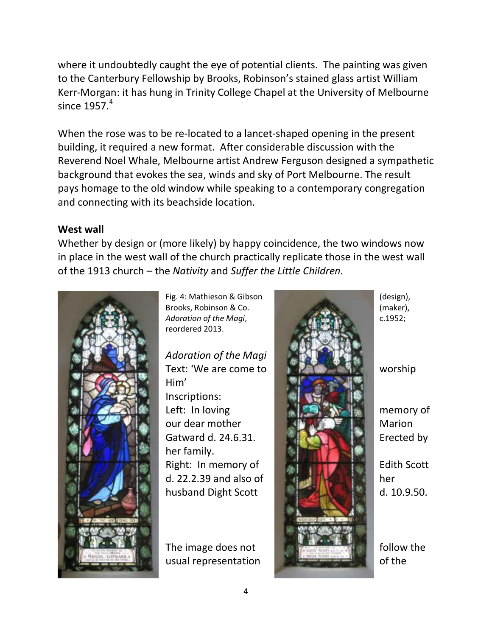where it undoubtedly caught the eye of potential clients. The painting was given to the Canterbury Fellowship by Brooks, Robinson's stained glass artist William Kerr-Morgan: it has hung in Trinity College Chapel at the University of Melbourne since  $1957.<sup>4</sup>$ 

When the rose was to be re-located to a lancet-shaped opening in the present building, it required a new format. After considerable discussion with the Reverend Noel Whale, Melbourne artist Andrew Ferguson designed a sympathetic background that evokes the sea, winds and sky of Port Melbourne. The result pays homage to the old window while speaking to a contemporary congregation and connecting with its beachside location.

#### **West wall**

Whether by design or (more likely) by happy coincidence, the two windows now in place in the west wall of the church practically replicate those in the west wall of the 1913 church – the *Nativity* and *Suffer the Little Children.* 



reordered 2013.

*Adoration of the Magi* Him' Inscriptions:

her family.

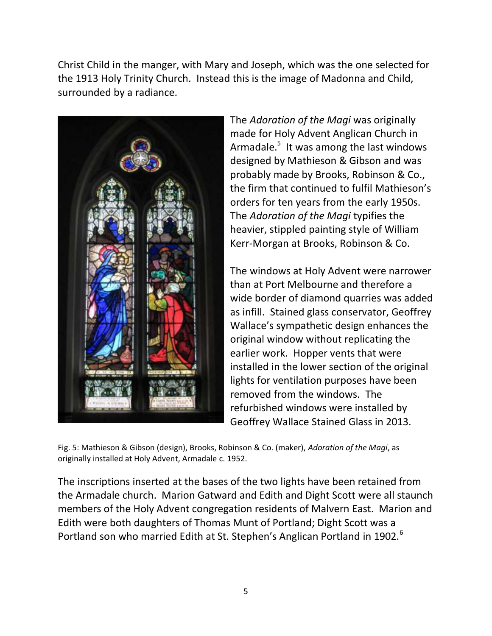Christ Child in the manger, with Mary and Joseph, which was the one selected for the 1913 Holy Trinity Church. Instead this is the image of Madonna and Child, surrounded by a radiance.



The *Adoration of the Magi* was originally made for Holy Advent Anglican Church in Armadale.<sup>5</sup> It was among the last windows designed by Mathieson & Gibson and was probably made by Brooks, Robinson & Co., the firm that continued to fulfil Mathieson's orders for ten years from the early 1950s. The *Adoration of the Magi* typifies the heavier, stippled painting style of William Kerr-Morgan at Brooks, Robinson & Co.

The windows at Holy Advent were narrower than at Port Melbourne and therefore a wide border of diamond quarries was added as infill. Stained glass conservator, Geoffrey Wallace's sympathetic design enhances the original window without replicating the earlier work. Hopper vents that were installed in the lower section of the original lights for ventilation purposes have been removed from the windows. The refurbished windows were installed by Geoffrey Wallace Stained Glass in 2013.

Fig. 5: Mathieson & Gibson (design), Brooks, Robinson & Co. (maker), *Adoration of the Magi*, as originally installed at Holy Advent, Armadale c. 1952.

The inscriptions inserted at the bases of the two lights have been retained from the Armadale church. Marion Gatward and Edith and Dight Scott were all staunch members of the Holy Advent congregation residents of Malvern East. Marion and Edith were both daughters of Thomas Munt of Portland; Dight Scott was a Portland son who married Edith at St. Stephen's Anglican Portland in 1902.<sup>6</sup>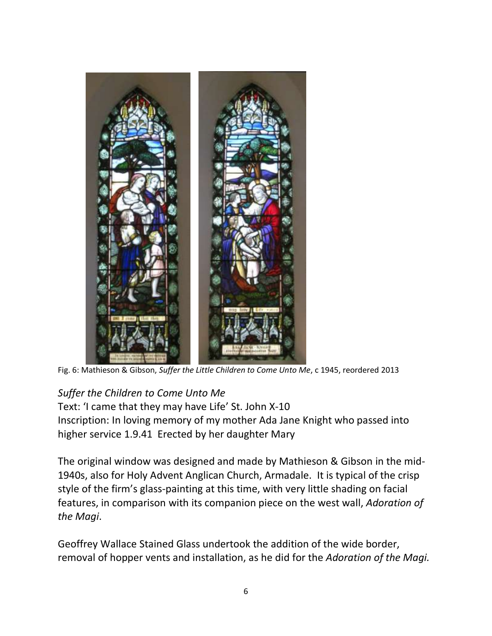

Fig. 6: Mathieson & Gibson, *Suffer the Little Children to Come Unto Me*, c 1945, reordered 2013

## *Suffer the Children to Come Unto Me*

Text: 'I came that they may have Life' St. John X-10 Inscription: In loving memory of my mother Ada Jane Knight who passed into higher service 1.9.41 Erected by her daughter Mary

The original window was designed and made by Mathieson & Gibson in the mid-1940s, also for Holy Advent Anglican Church, Armadale. It is typical of the crisp style of the firm's glass-painting at this time, with very little shading on facial features, in comparison with its companion piece on the west wall, *Adoration of the Magi*.

Geoffrey Wallace Stained Glass undertook the addition of the wide border, removal of hopper vents and installation, as he did for the *Adoration of the Magi.*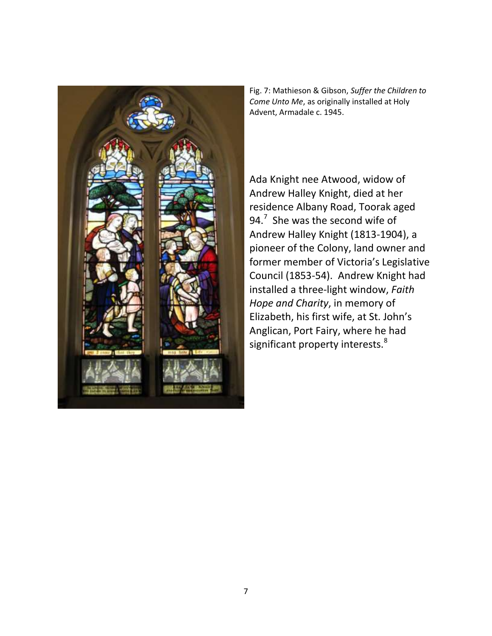

Fig. 7: Mathieson & Gibson, *Suffer the Children to Come Unto Me*, as originally installed at Holy Advent, Armadale c. 1945.

Ada Knight nee Atwood, widow of Andrew Halley Knight, died at her residence Albany Road, Toorak aged 94.<sup>7</sup> She was the second wife of Andrew Halley Knight (1813-1904), a pioneer of the Colony, land owner and former member of Victoria's Legislative Council (1853-54). Andrew Knight had installed a three-light window, *Faith Hope and Charity*, in memory of Elizabeth, his first wife, at St. John's Anglican, Port Fairy, where he had significant property interests.<sup>8</sup>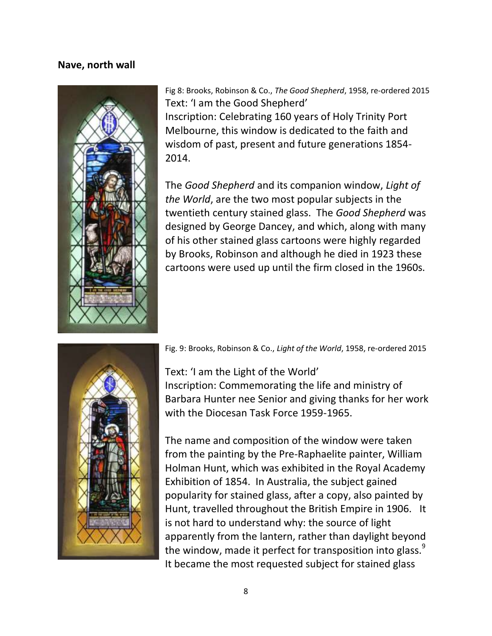#### **Nave, north wall**



Fig 8: Brooks, Robinson & Co., *The Good Shepherd*, 1958, re-ordered 2015 Text: 'I am the Good Shepherd' Inscription: Celebrating 160 years of Holy Trinity Port Melbourne, this window is dedicated to the faith and wisdom of past, present and future generations 1854- 2014.

The *Good Shepherd* and its companion window, *Light of the World*, are the two most popular subjects in the twentieth century stained glass. The *Good Shepherd* was designed by George Dancey, and which, along with many of his other stained glass cartoons were highly regarded by Brooks, Robinson and although he died in 1923 these cartoons were used up until the firm closed in the 1960s.



Fig. 9: Brooks, Robinson & Co., *Light of the World*, 1958, re-ordered 2015

Text: 'I am the Light of the World' Inscription: Commemorating the life and ministry of Barbara Hunter nee Senior and giving thanks for her work with the Diocesan Task Force 1959-1965.

The name and composition of the window were taken from the painting by the Pre-Raphaelite painter, William Holman Hunt, which was exhibited in the Royal Academy Exhibition of 1854. In Australia, the subject gained popularity for stained glass, after a copy, also painted by Hunt, travelled throughout the British Empire in 1906. It is not hard to understand why: the source of light apparently from the lantern, rather than daylight beyond the window, made it perfect for transposition into glass. $^{9}$ It became the most requested subject for stained glass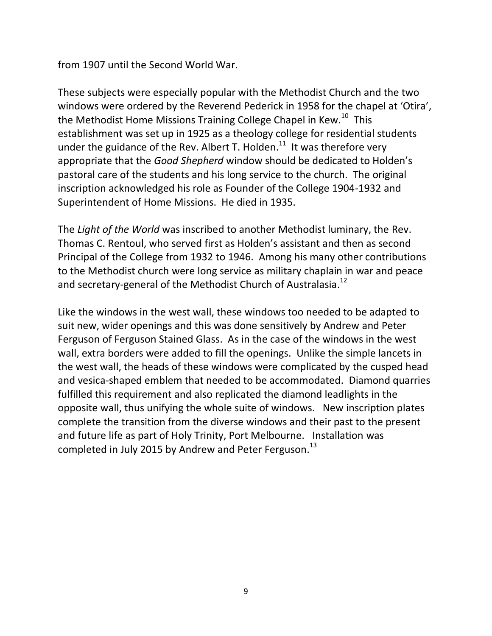from 1907 until the Second World War.

These subjects were especially popular with the Methodist Church and the two windows were ordered by the Reverend Pederick in 1958 for the chapel at 'Otira', the Methodist Home Missions Training College Chapel in Kew.<sup>10</sup> This establishment was set up in 1925 as a theology college for residential students under the guidance of the Rev. Albert T. Holden. $^{11}$  It was therefore very appropriate that the *Good Shepherd* window should be dedicated to Holden's pastoral care of the students and his long service to the church. The original inscription acknowledged his role as Founder of the College 1904-1932 and Superintendent of Home Missions. He died in 1935.

The *Light of the World* was inscribed to another Methodist luminary, the Rev. Thomas C. Rentoul, who served first as Holden's assistant and then as second Principal of the College from 1932 to 1946. Among his many other contributions to the Methodist church were long service as military chaplain in war and peace and secretary-general of the Methodist Church of Australasia.<sup>12</sup>

Like the windows in the west wall, these windows too needed to be adapted to suit new, wider openings and this was done sensitively by Andrew and Peter Ferguson of Ferguson Stained Glass. As in the case of the windows in the west wall, extra borders were added to fill the openings. Unlike the simple lancets in the west wall, the heads of these windows were complicated by the cusped head and vesica-shaped emblem that needed to be accommodated. Diamond quarries fulfilled this requirement and also replicated the diamond leadlights in the opposite wall, thus unifying the whole suite of windows. New inscription plates complete the transition from the diverse windows and their past to the present and future life as part of Holy Trinity, Port Melbourne. Installation was completed in July 2015 by Andrew and Peter Ferguson.<sup>13</sup>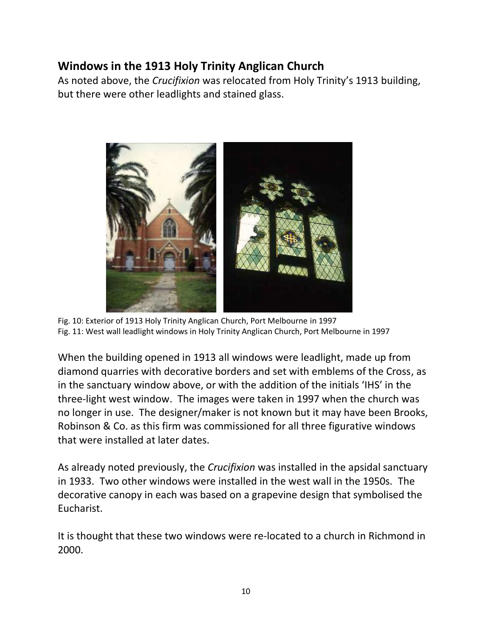# **Windows in the 1913 Holy Trinity Anglican Church**

As noted above, the *Crucifixion* was relocated from Holy Trinity's 1913 building, but there were other leadlights and stained glass.



Fig. 10: Exterior of 1913 Holy Trinity Anglican Church, Port Melbourne in 1997 Fig. 11: West wall leadlight windows in Holy Trinity Anglican Church, Port Melbourne in 1997

When the building opened in 1913 all windows were leadlight, made up from diamond quarries with decorative borders and set with emblems of the Cross, as in the sanctuary window above, or with the addition of the initials 'IHS' in the three-light west window. The images were taken in 1997 when the church was no longer in use. The designer/maker is not known but it may have been Brooks, Robinson & Co. as this firm was commissioned for all three figurative windows that were installed at later dates.

As already noted previously, the *Crucifixion* was installed in the apsidal sanctuary in 1933. Two other windows were installed in the west wall in the 1950s. The decorative canopy in each was based on a grapevine design that symbolised the Eucharist.

It is thought that these two windows were re-located to a church in Richmond in 2000.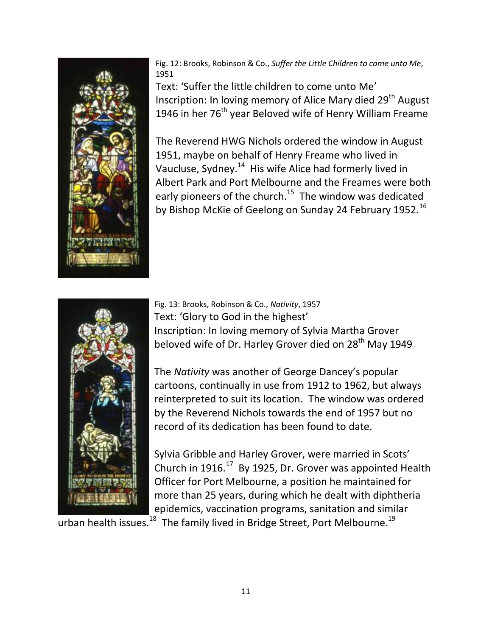

Fig. 12: Brooks, Robinson & Co., *Suffer the Little Children to come unto Me*, 1951

Text: 'Suffer the little children to come unto Me' Inscription: In loving memory of Alice Mary died 29<sup>th</sup> August 1946 in her 76<sup>th</sup> year Beloved wife of Henry William Freame

The Reverend HWG Nichols ordered the window in August 1951, maybe on behalf of Henry Freame who lived in Vaucluse, Sydney.<sup>14</sup> His wife Alice had formerly lived in Albert Park and Port Melbourne and the Freames were both early pioneers of the church.<sup>15</sup> The window was dedicated by Bishop McKie of Geelong on Sunday 24 February 1952.<sup>16</sup>



Fig. 13: Brooks, Robinson & Co., *Nativity*, 1957 Text: 'Glory to God in the highest' Inscription: In loving memory of Sylvia Martha Grover beloved wife of Dr. Harley Grover died on 28<sup>th</sup> May 1949

The *Nativity* was another of George Dancey's popular cartoons, continually in use from 1912 to 1962, but always reinterpreted to suit its location. The window was ordered by the Reverend Nichols towards the end of 1957 but no record of its dedication has been found to date.

Sylvia Gribble and Harley Grover, were married in Scots' Church in 1916. $^{17}$  By 1925, Dr. Grover was appointed Health Officer for Port Melbourne, a position he maintained for more than 25 years, during which he dealt with diphtheria epidemics, vaccination programs, sanitation and similar

urban health issues.<sup>18</sup> The family lived in Bridge Street, Port Melbourne.<sup>19</sup>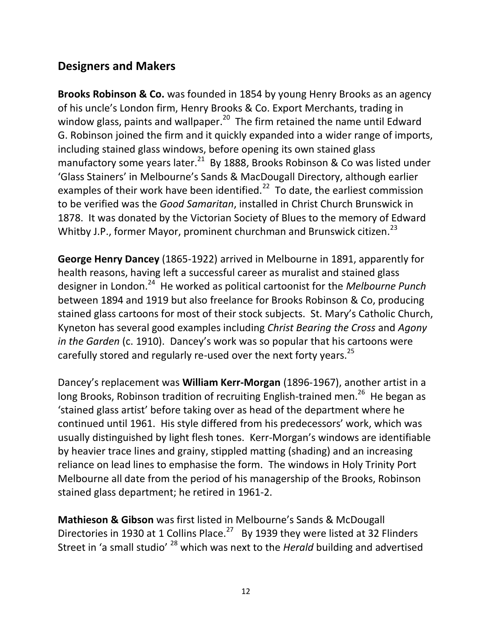## **Designers and Makers**

**Brooks Robinson & Co.** was founded in 1854 by young Henry Brooks as an agency of his uncle's London firm, Henry Brooks & Co. Export Merchants, trading in window glass, paints and wallpaper.<sup>20</sup> The firm retained the name until Edward G. Robinson joined the firm and it quickly expanded into a wider range of imports, including stained glass windows, before opening its own stained glass manufactory some years later. $^{21}$  By 1888, Brooks Robinson & Co was listed under 'Glass Stainers' in Melbourne's Sands & MacDougall Directory, although earlier examples of their work have been identified.<sup>22</sup> To date, the earliest commission to be verified was the *Good Samaritan*, installed in Christ Church Brunswick in 1878. It was donated by the Victorian Society of Blues to the memory of Edward Whitby J.P., former Mayor, prominent churchman and Brunswick citizen.<sup>23</sup>

**George Henry Dancey** (1865-1922) arrived in Melbourne in 1891, apparently for health reasons, having left a successful career as muralist and stained glass designer in London.<sup>24</sup> He worked as political cartoonist for the *Melbourne Punch* between 1894 and 1919 but also freelance for Brooks Robinson & Co, producing stained glass cartoons for most of their stock subjects. St. Mary's Catholic Church, Kyneton has several good examples including *Christ Bearing the Cross* and *Agony in the Garden* (c. 1910). Dancey's work was so popular that his cartoons were carefully stored and regularly re-used over the next forty years.<sup>25</sup>

Dancey's replacement was **William Kerr-Morgan** (1896-1967), another artist in a long Brooks, Robinson tradition of recruiting English-trained men.<sup>26</sup> He began as 'stained glass artist' before taking over as head of the department where he continued until 1961. His style differed from his predecessors' work, which was usually distinguished by light flesh tones. Kerr-Morgan's windows are identifiable by heavier trace lines and grainy, stippled matting (shading) and an increasing reliance on lead lines to emphasise the form. The windows in Holy Trinity Port Melbourne all date from the period of his managership of the Brooks, Robinson stained glass department; he retired in 1961-2.

**Mathieson & Gibson** was first listed in Melbourne's Sands & McDougall Directories in 1930 at 1 Collins Place.<sup>27</sup> By 1939 they were listed at 32 Flinders Street in 'a small studio' <sup>28</sup> which was next to the *Herald* building and advertised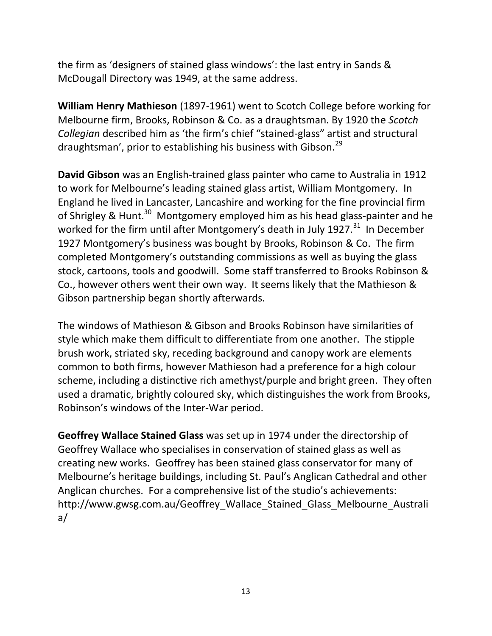the firm as 'designers of stained glass windows': the last entry in Sands & McDougall Directory was 1949, at the same address.

**William Henry Mathieson** (1897-1961) went to Scotch College before working for Melbourne firm, Brooks, Robinson & Co. as a draughtsman. By 1920 the *Scotch Collegian* described him as 'the firm's chief "stained-glass" artist and structural draughtsman', prior to establishing his business with Gibson.<sup>29</sup>

**David Gibson** was an English-trained glass painter who came to Australia in 1912 to work for Melbourne's leading stained glass artist, William Montgomery. In England he lived in Lancaster, Lancashire and working for the fine provincial firm of Shrigley & Hunt.<sup>30</sup> Montgomery employed him as his head glass-painter and he worked for the firm until after Montgomery's death in July 1927. $^{31}$  In December 1927 Montgomery's business was bought by Brooks, Robinson & Co. The firm completed Montgomery's outstanding commissions as well as buying the glass stock, cartoons, tools and goodwill. Some staff transferred to Brooks Robinson & Co., however others went their own way. It seems likely that the Mathieson & Gibson partnership began shortly afterwards.

The windows of Mathieson & Gibson and Brooks Robinson have similarities of style which make them difficult to differentiate from one another. The stipple brush work, striated sky, receding background and canopy work are elements common to both firms, however Mathieson had a preference for a high colour scheme, including a distinctive rich amethyst/purple and bright green. They often used a dramatic, brightly coloured sky, which distinguishes the work from Brooks, Robinson's windows of the Inter-War period.

**Geoffrey Wallace Stained Glass** was set up in 1974 under the directorship of Geoffrey Wallace who specialises in conservation of stained glass as well as creating new works. Geoffrey has been stained glass conservator for many of Melbourne's heritage buildings, including St. Paul's Anglican Cathedral and other Anglican churches. For a comprehensive list of the studio's achievements: http://www.gwsg.com.au/Geoffrey\_Wallace\_Stained\_Glass\_Melbourne\_Australi a/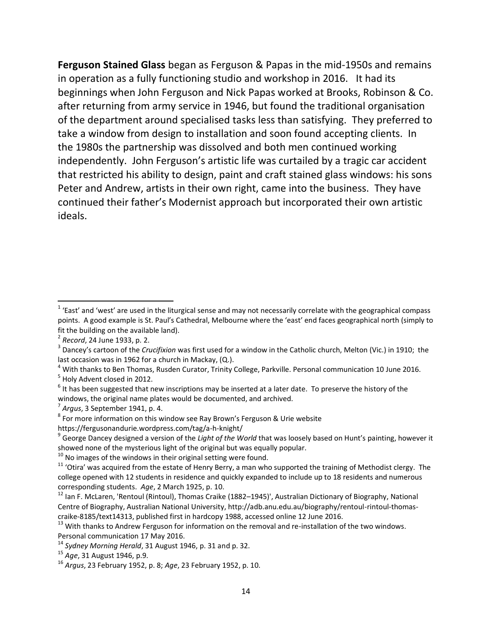**Ferguson Stained Glass** began as Ferguson & Papas in the mid-1950s and remains in operation as a fully functioning studio and workshop in 2016. It had its beginnings when John Ferguson and Nick Papas worked at Brooks, Robinson & Co. after returning from army service in 1946, but found the traditional organisation of the department around specialised tasks less than satisfying. They preferred to take a window from design to installation and soon found accepting clients. In the 1980s the partnership was dissolved and both men continued working independently. John Ferguson's artistic life was curtailed by a tragic car accident that restricted his ability to design, paint and craft stained glass windows: his sons Peter and Andrew, artists in their own right, came into the business. They have continued their father's Modernist approach but incorporated their own artistic ideals.

- <sup>4</sup> With thanks to Ben Thomas, Rusden Curator, Trinity College, Parkville. Personal communication 10 June 2016. <sup>5</sup> Holy Advent closed in 2012.
- $^6$  It has been suggested that new inscriptions may be inserted at a later date. To preserve the history of the windows, the original name plates would be documented, and archived.

https://fergusonandurie.wordpress.com/tag/a-h-knight/

 $10$  No images of the windows in their original setting were found.

 1 'East' and 'west' are used in the liturgical sense and may not necessarily correlate with the geographical compass points. A good example is St. Paul's Cathedral, Melbourne where the 'east' end faces geographical north (simply to fit the building on the available land).

<sup>2</sup> *Record*, 24 June 1933, p. 2.

<sup>3</sup> Dancey's cartoon of the *Crucifixion* was first used for a window in the Catholic church, Melton (Vic.) in 1910; the last occasion was in 1962 for a church in Mackay, (Q.).

<sup>7</sup> *Argus*, 3 September 1941, p. 4.

 $^8$  For more information on this window see Ray Brown's Ferguson & Urie website

<sup>9</sup> George Dancey designed a version of the *Light of the World* that was loosely based on Hunt's painting, however it showed none of the mysterious light of the original but was equally popular.

 $11$  'Otira' was acquired from the estate of Henry Berry, a man who supported the training of Methodist clergy. The college opened with 12 students in residence and quickly expanded to include up to 18 residents and numerous corresponding students. *Age*, 2 March 1925, p. 10.

<sup>&</sup>lt;sup>12</sup> Ian F. McLaren, 'Rentoul (Rintoul), Thomas Craike (1882–1945)', Australian Dictionary of Biography, National Centre of Biography, Australian National University, http://adb.anu.edu.au/biography/rentoul-rintoul-thomascraike-8185/text14313, published first in hardcopy 1988, accessed online 12 June 2016.

<sup>&</sup>lt;sup>13</sup> With thanks to Andrew Ferguson for information on the removal and re-installation of the two windows. Personal communication 17 May 2016.

<sup>14</sup> *Sydney Morning Herald*, 31 August 1946, p. 31 and p. 32.

<sup>15</sup> *Age*, 31 August 1946, p.9.

<sup>16</sup> *Argus*, 23 February 1952, p. 8; *Age*, 23 February 1952, p. 10.